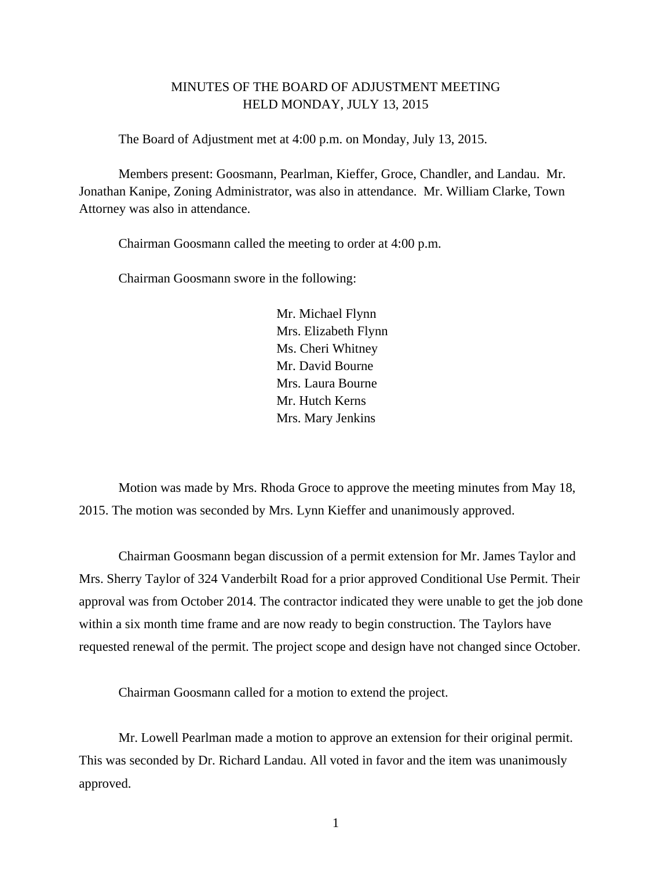## MINUTES OF THE BOARD OF ADJUSTMENT MEETING HELD MONDAY, JULY 13, 2015

The Board of Adjustment met at 4:00 p.m. on Monday, July 13, 2015.

Members present: Goosmann, Pearlman, Kieffer, Groce, Chandler, and Landau. Mr. Jonathan Kanipe, Zoning Administrator, was also in attendance. Mr. William Clarke, Town Attorney was also in attendance.

Chairman Goosmann called the meeting to order at 4:00 p.m.

Chairman Goosmann swore in the following:

 Mr. Michael Flynn Mrs. Elizabeth Flynn Ms. Cheri Whitney Mr. David Bourne Mrs. Laura Bourne Mr. Hutch Kerns Mrs. Mary Jenkins

 Motion was made by Mrs. Rhoda Groce to approve the meeting minutes from May 18, 2015. The motion was seconded by Mrs. Lynn Kieffer and unanimously approved.

Chairman Goosmann began discussion of a permit extension for Mr. James Taylor and Mrs. Sherry Taylor of 324 Vanderbilt Road for a prior approved Conditional Use Permit. Their approval was from October 2014. The contractor indicated they were unable to get the job done within a six month time frame and are now ready to begin construction. The Taylors have requested renewal of the permit. The project scope and design have not changed since October.

Chairman Goosmann called for a motion to extend the project.

Mr. Lowell Pearlman made a motion to approve an extension for their original permit. This was seconded by Dr. Richard Landau. All voted in favor and the item was unanimously approved.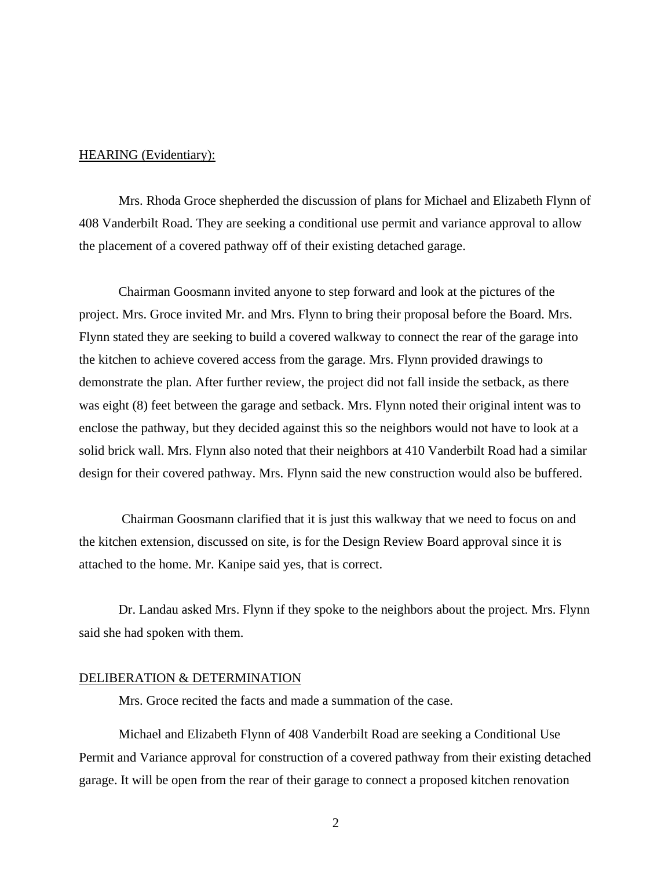## HEARING (Evidentiary):

 Mrs. Rhoda Groce shepherded the discussion of plans for Michael and Elizabeth Flynn of 408 Vanderbilt Road. They are seeking a conditional use permit and variance approval to allow the placement of a covered pathway off of their existing detached garage.

Chairman Goosmann invited anyone to step forward and look at the pictures of the project. Mrs. Groce invited Mr. and Mrs. Flynn to bring their proposal before the Board. Mrs. Flynn stated they are seeking to build a covered walkway to connect the rear of the garage into the kitchen to achieve covered access from the garage. Mrs. Flynn provided drawings to demonstrate the plan. After further review, the project did not fall inside the setback, as there was eight (8) feet between the garage and setback. Mrs. Flynn noted their original intent was to enclose the pathway, but they decided against this so the neighbors would not have to look at a solid brick wall. Mrs. Flynn also noted that their neighbors at 410 Vanderbilt Road had a similar design for their covered pathway. Mrs. Flynn said the new construction would also be buffered.

 Chairman Goosmann clarified that it is just this walkway that we need to focus on and the kitchen extension, discussed on site, is for the Design Review Board approval since it is attached to the home. Mr. Kanipe said yes, that is correct.

Dr. Landau asked Mrs. Flynn if they spoke to the neighbors about the project. Mrs. Flynn said she had spoken with them.

### DELIBERATION & DETERMINATION

Mrs. Groce recited the facts and made a summation of the case.

 Michael and Elizabeth Flynn of 408 Vanderbilt Road are seeking a Conditional Use Permit and Variance approval for construction of a covered pathway from their existing detached garage. It will be open from the rear of their garage to connect a proposed kitchen renovation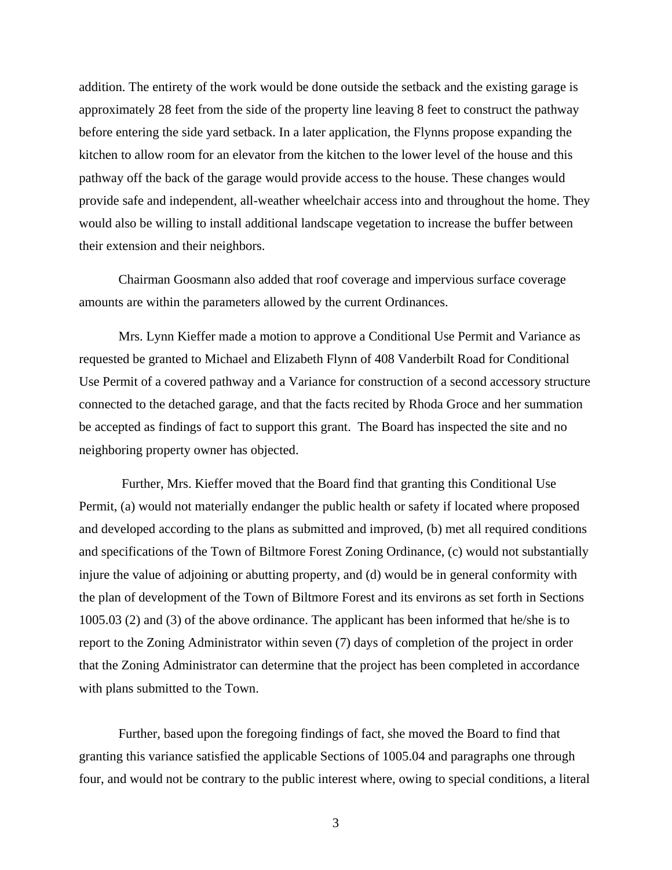addition. The entirety of the work would be done outside the setback and the existing garage is approximately 28 feet from the side of the property line leaving 8 feet to construct the pathway before entering the side yard setback. In a later application, the Flynns propose expanding the kitchen to allow room for an elevator from the kitchen to the lower level of the house and this pathway off the back of the garage would provide access to the house. These changes would provide safe and independent, all-weather wheelchair access into and throughout the home. They would also be willing to install additional landscape vegetation to increase the buffer between their extension and their neighbors.

 Chairman Goosmann also added that roof coverage and impervious surface coverage amounts are within the parameters allowed by the current Ordinances.

Mrs. Lynn Kieffer made a motion to approve a Conditional Use Permit and Variance as requested be granted to Michael and Elizabeth Flynn of 408 Vanderbilt Road for Conditional Use Permit of a covered pathway and a Variance for construction of a second accessory structure connected to the detached garage, and that the facts recited by Rhoda Groce and her summation be accepted as findings of fact to support this grant. The Board has inspected the site and no neighboring property owner has objected.

 Further, Mrs. Kieffer moved that the Board find that granting this Conditional Use Permit, (a) would not materially endanger the public health or safety if located where proposed and developed according to the plans as submitted and improved, (b) met all required conditions and specifications of the Town of Biltmore Forest Zoning Ordinance, (c) would not substantially injure the value of adjoining or abutting property, and (d) would be in general conformity with the plan of development of the Town of Biltmore Forest and its environs as set forth in Sections 1005.03 (2) and (3) of the above ordinance. The applicant has been informed that he/she is to report to the Zoning Administrator within seven (7) days of completion of the project in order that the Zoning Administrator can determine that the project has been completed in accordance with plans submitted to the Town.

Further, based upon the foregoing findings of fact, she moved the Board to find that granting this variance satisfied the applicable Sections of 1005.04 and paragraphs one through four, and would not be contrary to the public interest where, owing to special conditions, a literal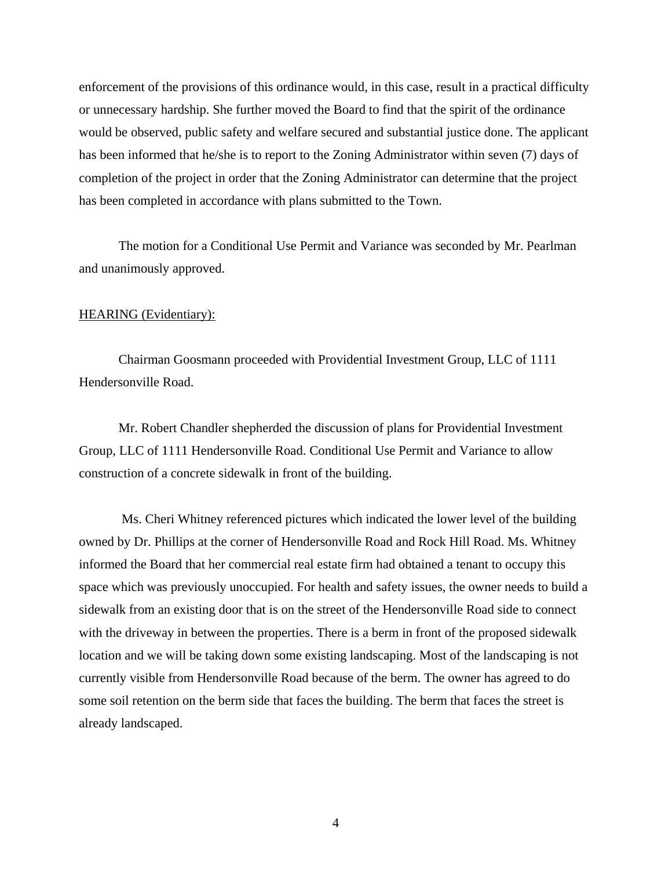enforcement of the provisions of this ordinance would, in this case, result in a practical difficulty or unnecessary hardship. She further moved the Board to find that the spirit of the ordinance would be observed, public safety and welfare secured and substantial justice done. The applicant has been informed that he/she is to report to the Zoning Administrator within seven (7) days of completion of the project in order that the Zoning Administrator can determine that the project has been completed in accordance with plans submitted to the Town.

The motion for a Conditional Use Permit and Variance was seconded by Mr. Pearlman and unanimously approved.

# HEARING (Evidentiary):

Chairman Goosmann proceeded with Providential Investment Group, LLC of 1111 Hendersonville Road.

Mr. Robert Chandler shepherded the discussion of plans for Providential Investment Group, LLC of 1111 Hendersonville Road. Conditional Use Permit and Variance to allow construction of a concrete sidewalk in front of the building.

 Ms. Cheri Whitney referenced pictures which indicated the lower level of the building owned by Dr. Phillips at the corner of Hendersonville Road and Rock Hill Road. Ms. Whitney informed the Board that her commercial real estate firm had obtained a tenant to occupy this space which was previously unoccupied. For health and safety issues, the owner needs to build a sidewalk from an existing door that is on the street of the Hendersonville Road side to connect with the driveway in between the properties. There is a berm in front of the proposed sidewalk location and we will be taking down some existing landscaping. Most of the landscaping is not currently visible from Hendersonville Road because of the berm. The owner has agreed to do some soil retention on the berm side that faces the building. The berm that faces the street is already landscaped.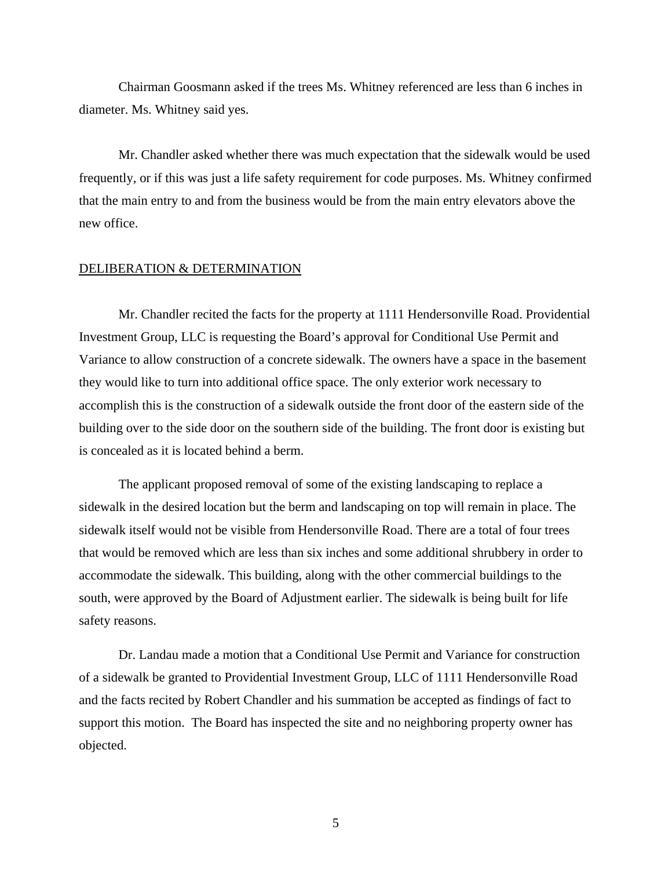Chairman Goosmann asked if the trees Ms. Whitney referenced are less than 6 inches in diameter. Ms. Whitney said yes.

Mr. Chandler asked whether there was much expectation that the sidewalk would be used frequently, or if this was just a life safety requirement for code purposes. Ms. Whitney confirmed that the main entry to and from the business would be from the main entry elevators above the new office.

### DELIBERATION & DETERMINATION

 Mr. Chandler recited the facts for the property at 1111 Hendersonville Road. Providential Investment Group, LLC is requesting the Board's approval for Conditional Use Permit and Variance to allow construction of a concrete sidewalk. The owners have a space in the basement they would like to turn into additional office space. The only exterior work necessary to accomplish this is the construction of a sidewalk outside the front door of the eastern side of the building over to the side door on the southern side of the building. The front door is existing but is concealed as it is located behind a berm.

The applicant proposed removal of some of the existing landscaping to replace a sidewalk in the desired location but the berm and landscaping on top will remain in place. The sidewalk itself would not be visible from Hendersonville Road. There are a total of four trees that would be removed which are less than six inches and some additional shrubbery in order to accommodate the sidewalk. This building, along with the other commercial buildings to the south, were approved by the Board of Adjustment earlier. The sidewalk is being built for life safety reasons.

Dr. Landau made a motion that a Conditional Use Permit and Variance for construction of a sidewalk be granted to Providential Investment Group, LLC of 1111 Hendersonville Road and the facts recited by Robert Chandler and his summation be accepted as findings of fact to support this motion. The Board has inspected the site and no neighboring property owner has objected.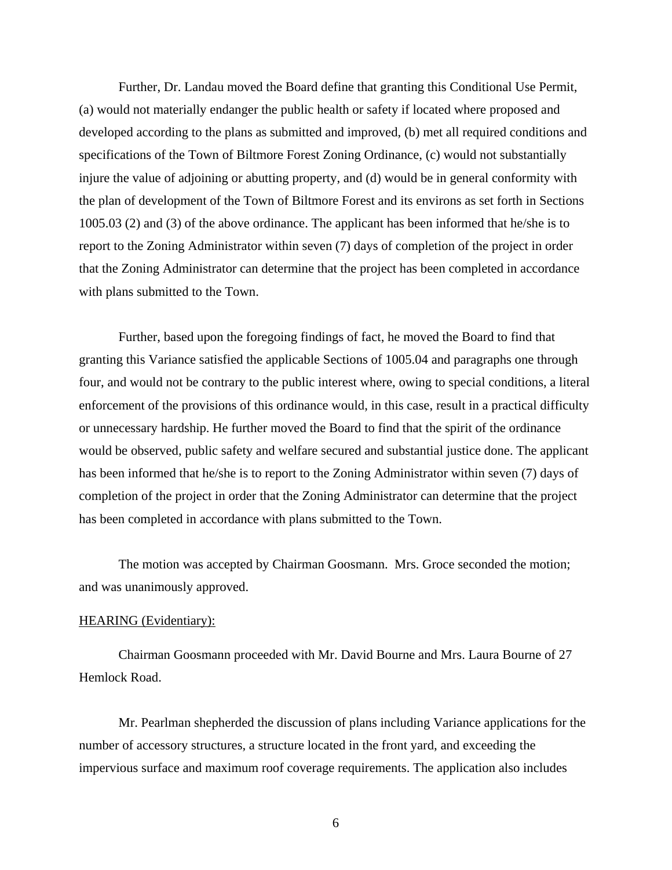Further, Dr. Landau moved the Board define that granting this Conditional Use Permit, (a) would not materially endanger the public health or safety if located where proposed and developed according to the plans as submitted and improved, (b) met all required conditions and specifications of the Town of Biltmore Forest Zoning Ordinance, (c) would not substantially injure the value of adjoining or abutting property, and (d) would be in general conformity with the plan of development of the Town of Biltmore Forest and its environs as set forth in Sections 1005.03 (2) and (3) of the above ordinance. The applicant has been informed that he/she is to report to the Zoning Administrator within seven (7) days of completion of the project in order that the Zoning Administrator can determine that the project has been completed in accordance with plans submitted to the Town.

Further, based upon the foregoing findings of fact, he moved the Board to find that granting this Variance satisfied the applicable Sections of 1005.04 and paragraphs one through four, and would not be contrary to the public interest where, owing to special conditions, a literal enforcement of the provisions of this ordinance would, in this case, result in a practical difficulty or unnecessary hardship. He further moved the Board to find that the spirit of the ordinance would be observed, public safety and welfare secured and substantial justice done. The applicant has been informed that he/she is to report to the Zoning Administrator within seven (7) days of completion of the project in order that the Zoning Administrator can determine that the project has been completed in accordance with plans submitted to the Town.

 The motion was accepted by Chairman Goosmann. Mrs. Groce seconded the motion; and was unanimously approved.

## HEARING (Evidentiary):

Chairman Goosmann proceeded with Mr. David Bourne and Mrs. Laura Bourne of 27 Hemlock Road.

Mr. Pearlman shepherded the discussion of plans including Variance applications for the number of accessory structures, a structure located in the front yard, and exceeding the impervious surface and maximum roof coverage requirements. The application also includes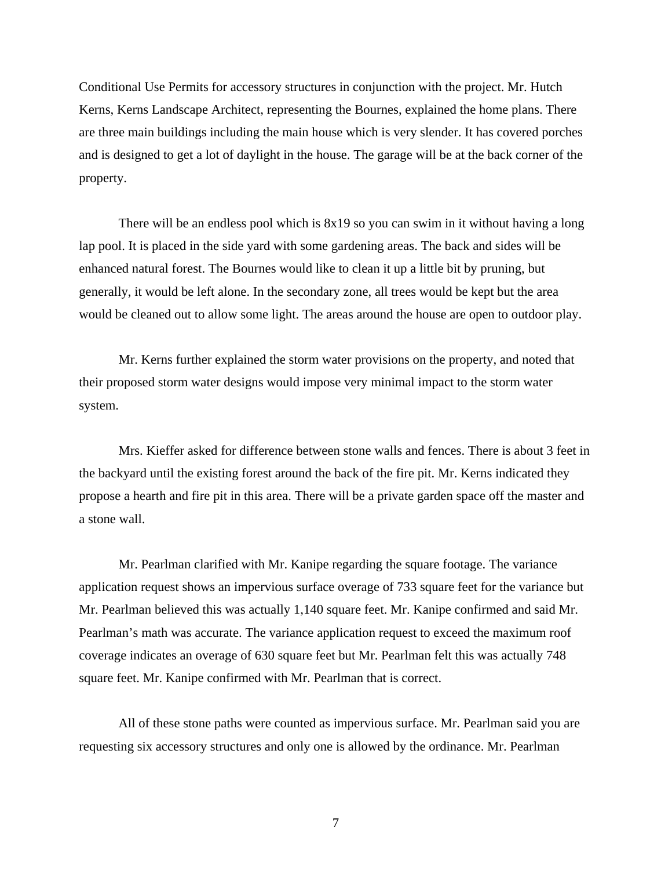Conditional Use Permits for accessory structures in conjunction with the project. Mr. Hutch Kerns, Kerns Landscape Architect, representing the Bournes, explained the home plans. There are three main buildings including the main house which is very slender. It has covered porches and is designed to get a lot of daylight in the house. The garage will be at the back corner of the property.

There will be an endless pool which is 8x19 so you can swim in it without having a long lap pool. It is placed in the side yard with some gardening areas. The back and sides will be enhanced natural forest. The Bournes would like to clean it up a little bit by pruning, but generally, it would be left alone. In the secondary zone, all trees would be kept but the area would be cleaned out to allow some light. The areas around the house are open to outdoor play.

Mr. Kerns further explained the storm water provisions on the property, and noted that their proposed storm water designs would impose very minimal impact to the storm water system.

Mrs. Kieffer asked for difference between stone walls and fences. There is about 3 feet in the backyard until the existing forest around the back of the fire pit. Mr. Kerns indicated they propose a hearth and fire pit in this area. There will be a private garden space off the master and a stone wall.

Mr. Pearlman clarified with Mr. Kanipe regarding the square footage. The variance application request shows an impervious surface overage of 733 square feet for the variance but Mr. Pearlman believed this was actually 1,140 square feet. Mr. Kanipe confirmed and said Mr. Pearlman's math was accurate. The variance application request to exceed the maximum roof coverage indicates an overage of 630 square feet but Mr. Pearlman felt this was actually 748 square feet. Mr. Kanipe confirmed with Mr. Pearlman that is correct.

All of these stone paths were counted as impervious surface. Mr. Pearlman said you are requesting six accessory structures and only one is allowed by the ordinance. Mr. Pearlman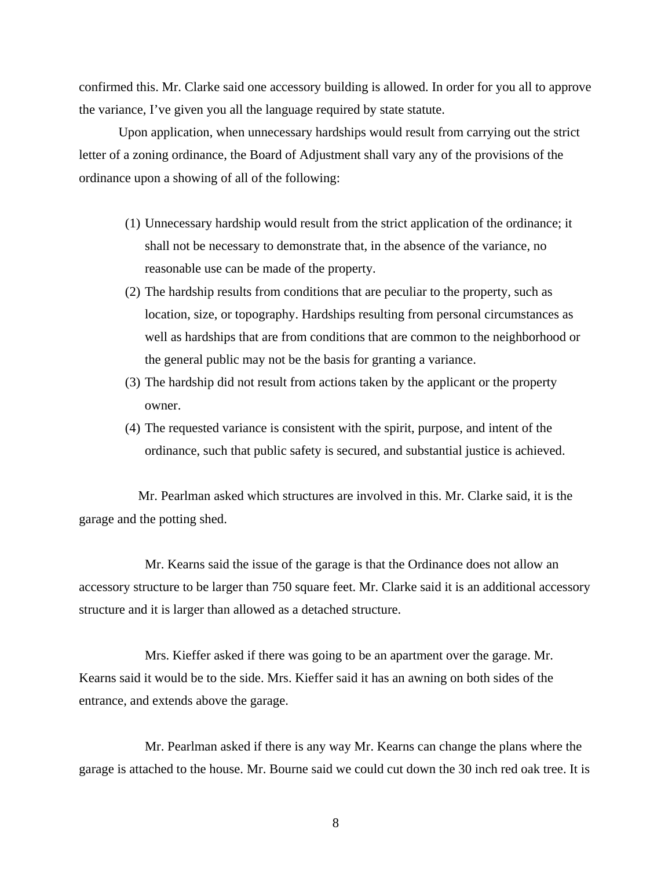confirmed this. Mr. Clarke said one accessory building is allowed. In order for you all to approve the variance, I've given you all the language required by state statute.

Upon application, when unnecessary hardships would result from carrying out the strict letter of a zoning ordinance, the Board of Adjustment shall vary any of the provisions of the ordinance upon a showing of all of the following:

- (1) Unnecessary hardship would result from the strict application of the ordinance; it shall not be necessary to demonstrate that, in the absence of the variance, no reasonable use can be made of the property.
- (2) The hardship results from conditions that are peculiar to the property, such as location, size, or topography. Hardships resulting from personal circumstances as well as hardships that are from conditions that are common to the neighborhood or the general public may not be the basis for granting a variance.
- (3) The hardship did not result from actions taken by the applicant or the property owner.
- (4) The requested variance is consistent with the spirit, purpose, and intent of the ordinance, such that public safety is secured, and substantial justice is achieved.

 Mr. Pearlman asked which structures are involved in this. Mr. Clarke said, it is the garage and the potting shed.

 Mr. Kearns said the issue of the garage is that the Ordinance does not allow an accessory structure to be larger than 750 square feet. Mr. Clarke said it is an additional accessory structure and it is larger than allowed as a detached structure.

 Mrs. Kieffer asked if there was going to be an apartment over the garage. Mr. Kearns said it would be to the side. Mrs. Kieffer said it has an awning on both sides of the entrance, and extends above the garage.

 Mr. Pearlman asked if there is any way Mr. Kearns can change the plans where the garage is attached to the house. Mr. Bourne said we could cut down the 30 inch red oak tree. It is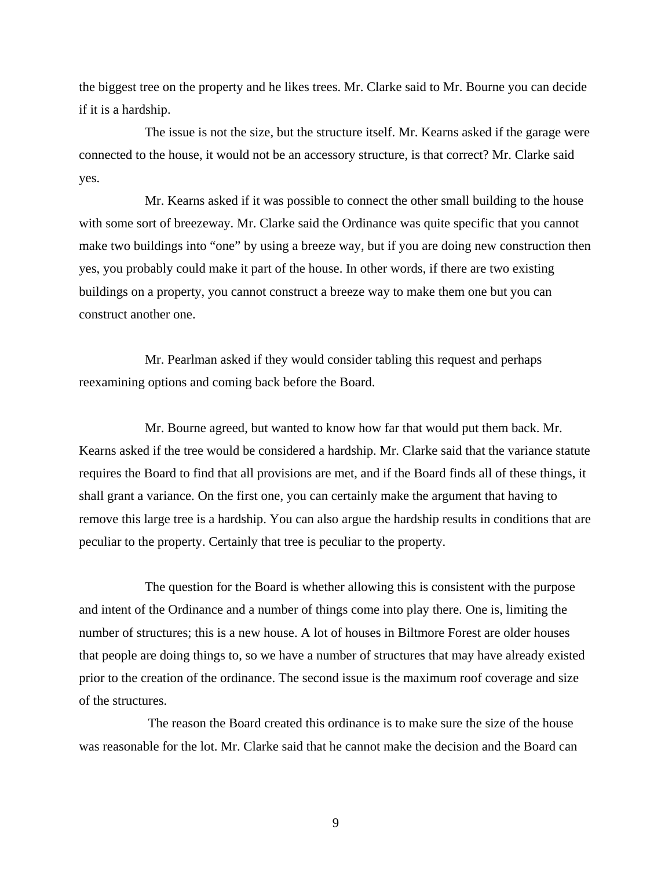the biggest tree on the property and he likes trees. Mr. Clarke said to Mr. Bourne you can decide if it is a hardship.

 The issue is not the size, but the structure itself. Mr. Kearns asked if the garage were connected to the house, it would not be an accessory structure, is that correct? Mr. Clarke said yes.

 Mr. Kearns asked if it was possible to connect the other small building to the house with some sort of breezeway. Mr. Clarke said the Ordinance was quite specific that you cannot make two buildings into "one" by using a breeze way, but if you are doing new construction then yes, you probably could make it part of the house. In other words, if there are two existing buildings on a property, you cannot construct a breeze way to make them one but you can construct another one.

 Mr. Pearlman asked if they would consider tabling this request and perhaps reexamining options and coming back before the Board.

 Mr. Bourne agreed, but wanted to know how far that would put them back. Mr. Kearns asked if the tree would be considered a hardship. Mr. Clarke said that the variance statute requires the Board to find that all provisions are met, and if the Board finds all of these things, it shall grant a variance. On the first one, you can certainly make the argument that having to remove this large tree is a hardship. You can also argue the hardship results in conditions that are peculiar to the property. Certainly that tree is peculiar to the property.

 The question for the Board is whether allowing this is consistent with the purpose and intent of the Ordinance and a number of things come into play there. One is, limiting the number of structures; this is a new house. A lot of houses in Biltmore Forest are older houses that people are doing things to, so we have a number of structures that may have already existed prior to the creation of the ordinance. The second issue is the maximum roof coverage and size of the structures.

 The reason the Board created this ordinance is to make sure the size of the house was reasonable for the lot. Mr. Clarke said that he cannot make the decision and the Board can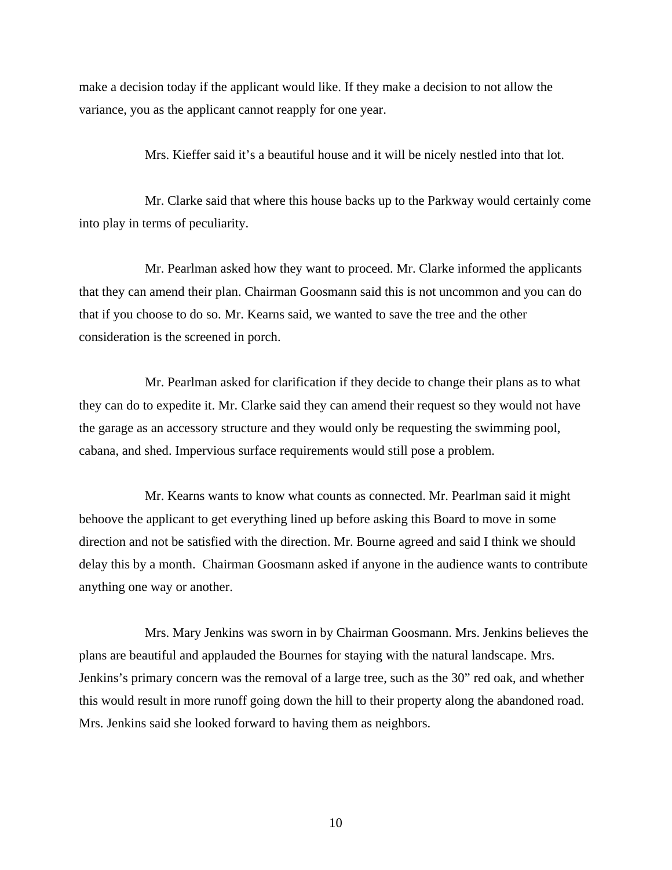make a decision today if the applicant would like. If they make a decision to not allow the variance, you as the applicant cannot reapply for one year.

Mrs. Kieffer said it's a beautiful house and it will be nicely nestled into that lot.

 Mr. Clarke said that where this house backs up to the Parkway would certainly come into play in terms of peculiarity.

 Mr. Pearlman asked how they want to proceed. Mr. Clarke informed the applicants that they can amend their plan. Chairman Goosmann said this is not uncommon and you can do that if you choose to do so. Mr. Kearns said, we wanted to save the tree and the other consideration is the screened in porch.

 Mr. Pearlman asked for clarification if they decide to change their plans as to what they can do to expedite it. Mr. Clarke said they can amend their request so they would not have the garage as an accessory structure and they would only be requesting the swimming pool, cabana, and shed. Impervious surface requirements would still pose a problem.

 Mr. Kearns wants to know what counts as connected. Mr. Pearlman said it might behoove the applicant to get everything lined up before asking this Board to move in some direction and not be satisfied with the direction. Mr. Bourne agreed and said I think we should delay this by a month. Chairman Goosmann asked if anyone in the audience wants to contribute anything one way or another.

 Mrs. Mary Jenkins was sworn in by Chairman Goosmann. Mrs. Jenkins believes the plans are beautiful and applauded the Bournes for staying with the natural landscape. Mrs. Jenkins's primary concern was the removal of a large tree, such as the 30" red oak, and whether this would result in more runoff going down the hill to their property along the abandoned road. Mrs. Jenkins said she looked forward to having them as neighbors.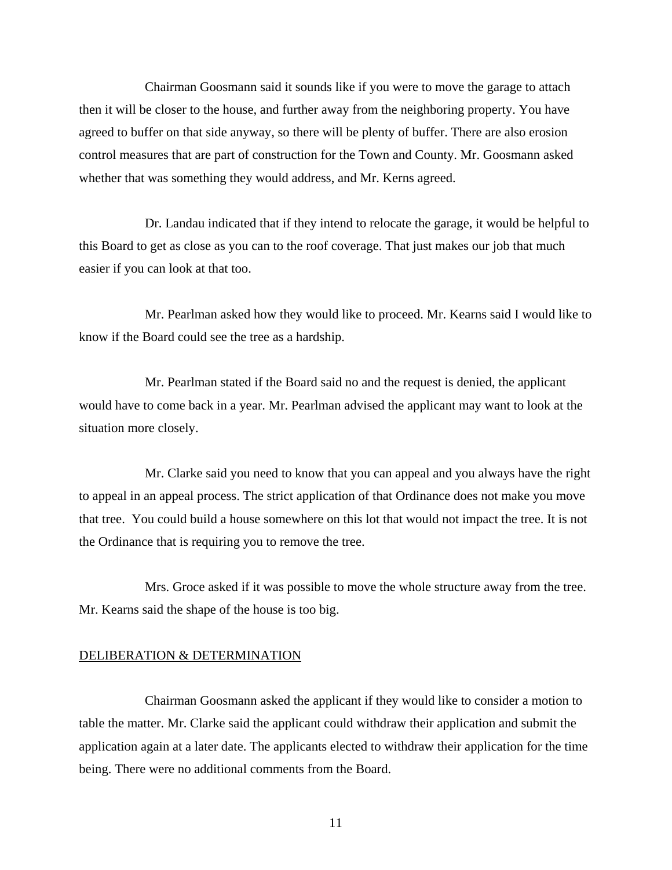Chairman Goosmann said it sounds like if you were to move the garage to attach then it will be closer to the house, and further away from the neighboring property. You have agreed to buffer on that side anyway, so there will be plenty of buffer. There are also erosion control measures that are part of construction for the Town and County. Mr. Goosmann asked whether that was something they would address, and Mr. Kerns agreed.

 Dr. Landau indicated that if they intend to relocate the garage, it would be helpful to this Board to get as close as you can to the roof coverage. That just makes our job that much easier if you can look at that too.

 Mr. Pearlman asked how they would like to proceed. Mr. Kearns said I would like to know if the Board could see the tree as a hardship.

 Mr. Pearlman stated if the Board said no and the request is denied, the applicant would have to come back in a year. Mr. Pearlman advised the applicant may want to look at the situation more closely.

 Mr. Clarke said you need to know that you can appeal and you always have the right to appeal in an appeal process. The strict application of that Ordinance does not make you move that tree. You could build a house somewhere on this lot that would not impact the tree. It is not the Ordinance that is requiring you to remove the tree.

 Mrs. Groce asked if it was possible to move the whole structure away from the tree. Mr. Kearns said the shape of the house is too big.

### DELIBERATION & DETERMINATION

 Chairman Goosmann asked the applicant if they would like to consider a motion to table the matter. Mr. Clarke said the applicant could withdraw their application and submit the application again at a later date. The applicants elected to withdraw their application for the time being. There were no additional comments from the Board.